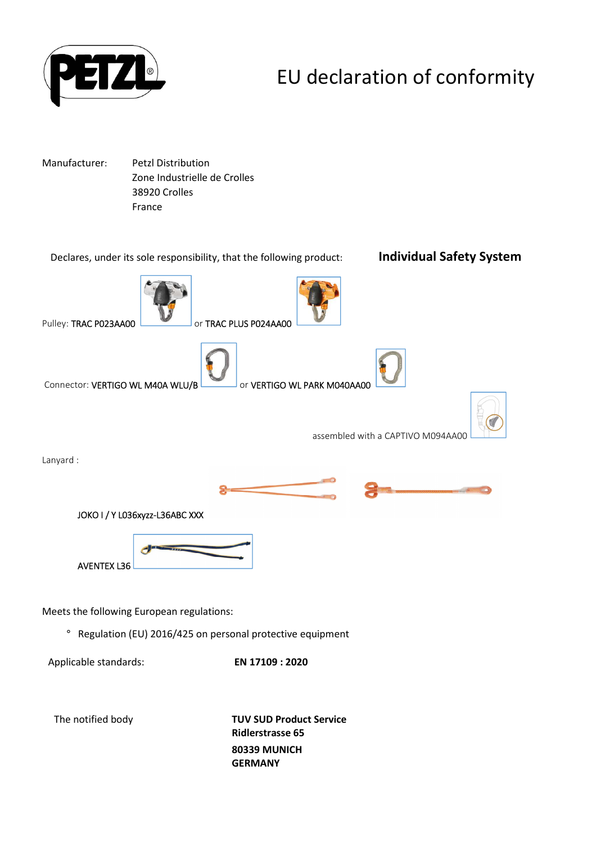

# EU declaration of conformity

Manufacturer: Petzl Distribution Zone Industrielle de Crolles 38920 Crolles France



**80339 MUNICH GERMANY**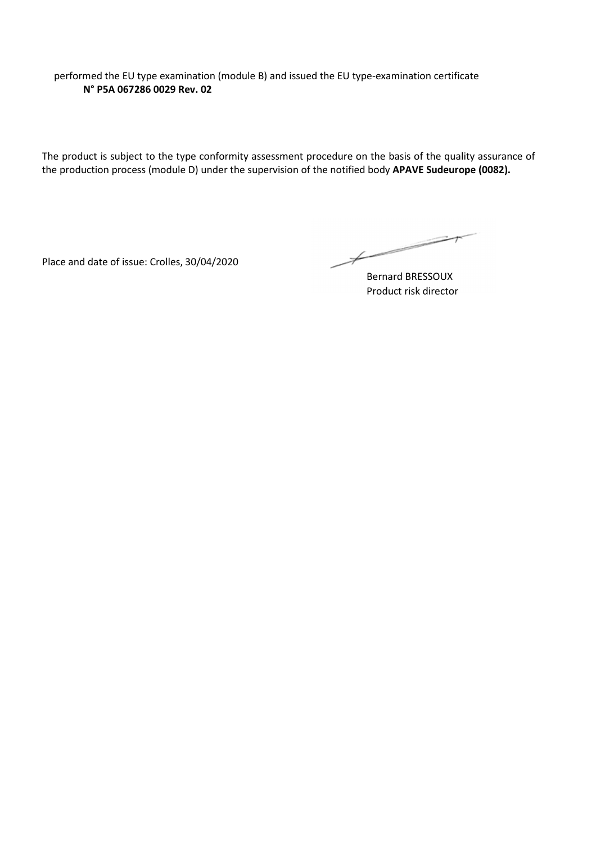performed the EU type examination (module B) and issued the EU type-examination certificate **N° P5A 067286 0029 Rev. 02**

The product is subject to the type conformity assessment procedure on the basis of the quality assurance of the production process (module D) under the supervision of the notified body **APAVE Sudeurope (0082).**

Place and date of issue: Crolles, 30/04/2020

 $\overbrace{\phantom{aaaaa}}^{x}$ 

Bernard BRESSOUX Product risk director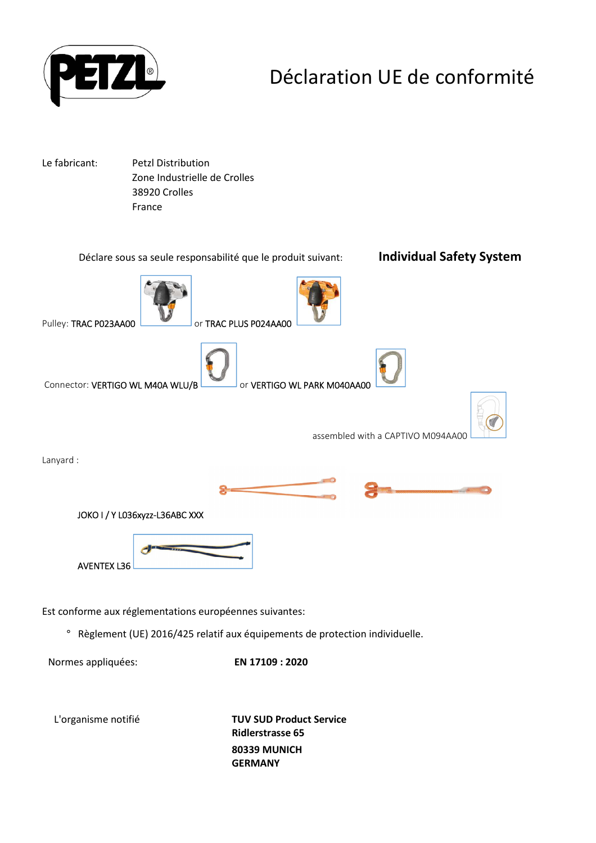

## Déclaration UE de conformité

Le fabricant: Petzl Distribution Zone Industrielle de Crolles 38920 Crolles France



Normes appliquées: **EN 17109 : 2020**

L'organisme notifié **TUV SUD Product Service Ridlerstrasse 65 80339 MUNICH GERMANY**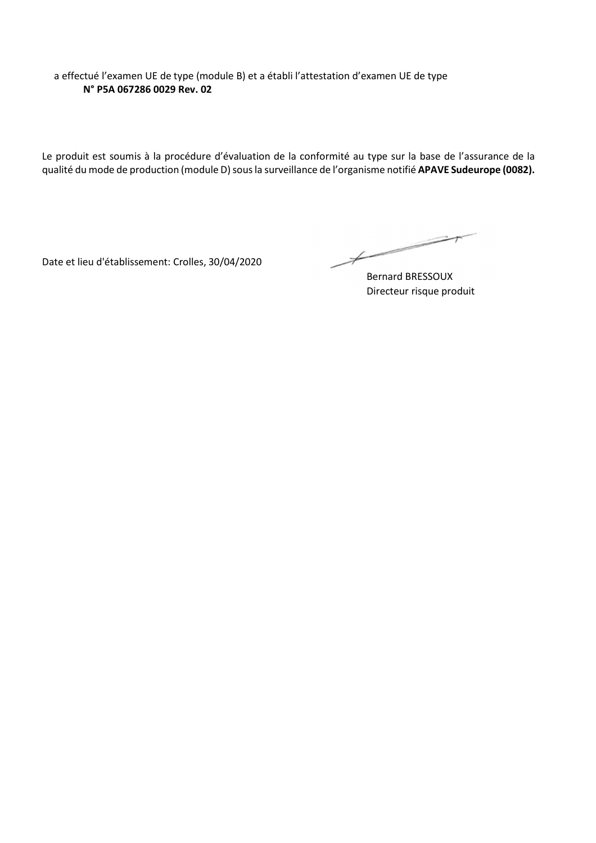a effectué l'examen UE de type (module B) et a établi l'attestation d'examen UE de type **N° P5A 067286 0029 Rev. 02**

Le produit est soumis à la procédure d'évaluation de la conformité au type sur la base de l'assurance de la qualité du mode de production (module D) sous la surveillance de l'organisme notifié **APAVE Sudeurope (0082).**

Date et lieu d'établissement: Crolles, 30/04/2020

 $\overbrace{\hspace{2.5cm}}^{*}$ 

Bernard BRESSOUX Directeur risque produit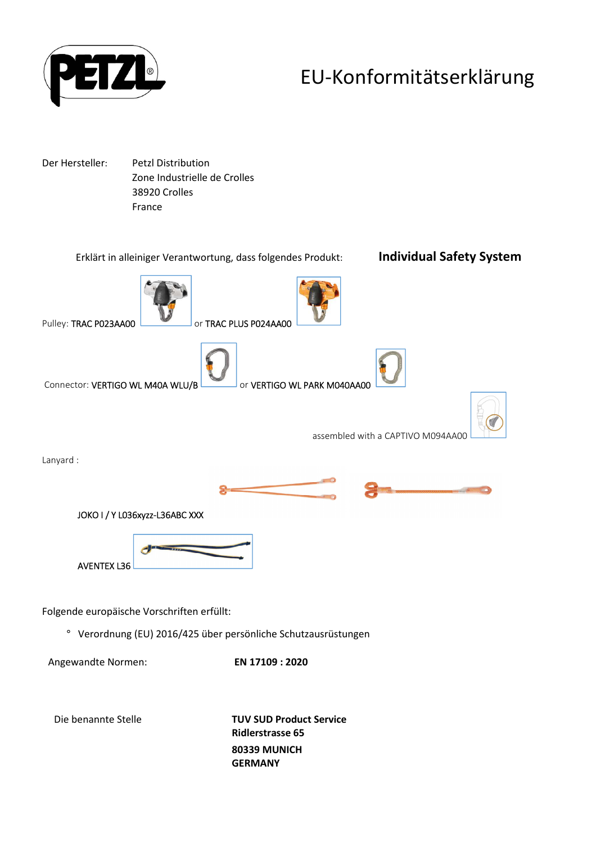

## EU-Konformitätserklärung

Der Hersteller: Petzl Distribution Zone Industrielle de Crolles 38920 Crolles France

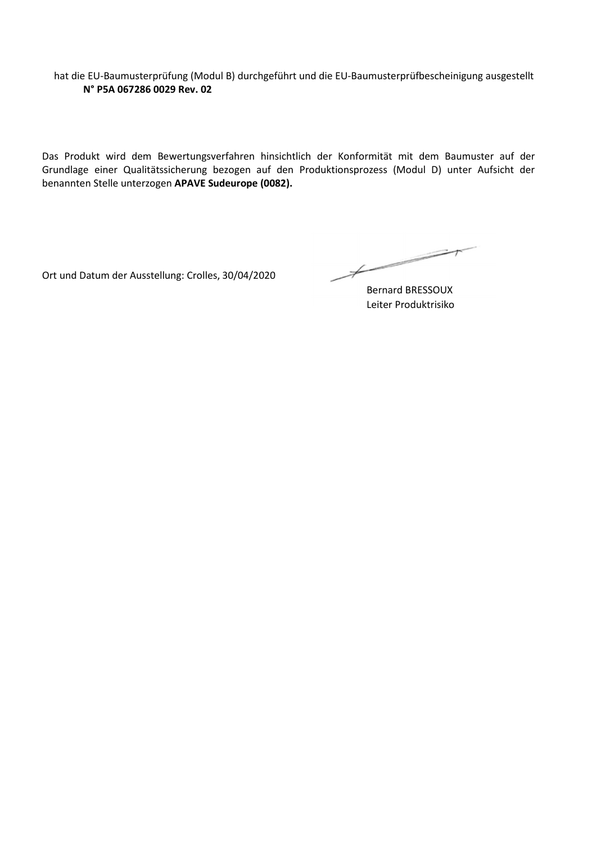hat die EU-Baumusterprüfung (Modul B) durchgeführt und die EU-Baumusterprüfbescheinigung ausgestellt **N° P5A 067286 0029 Rev. 02**

Das Produkt wird dem Bewertungsverfahren hinsichtlich der Konformität mit dem Baumuster auf der Grundlage einer Qualitätssicherung bezogen auf den Produktionsprozess (Modul D) unter Aufsicht der benannten Stelle unterzogen **APAVE Sudeurope (0082).**

Ort und Datum der Ausstellung: Crolles, 30/04/2020

 $\not\vdash$ 

Bernard BRESSOUX Leiter Produktrisiko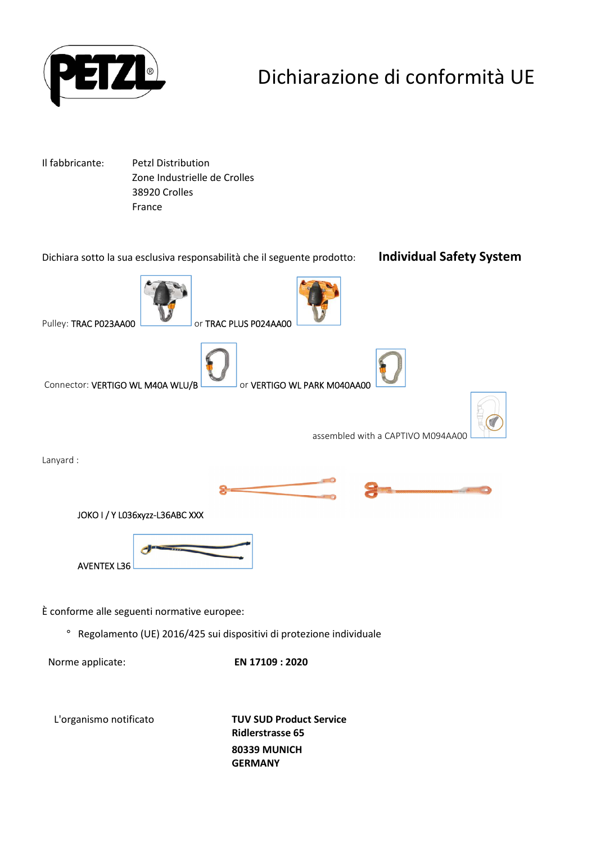

## Dichiarazione di conformità UE

Il fabbricante: Petzl Distribution Zone Industrielle de Crolles 38920 Crolles France



**Ridlerstrasse 65 80339 MUNICH GERMANY**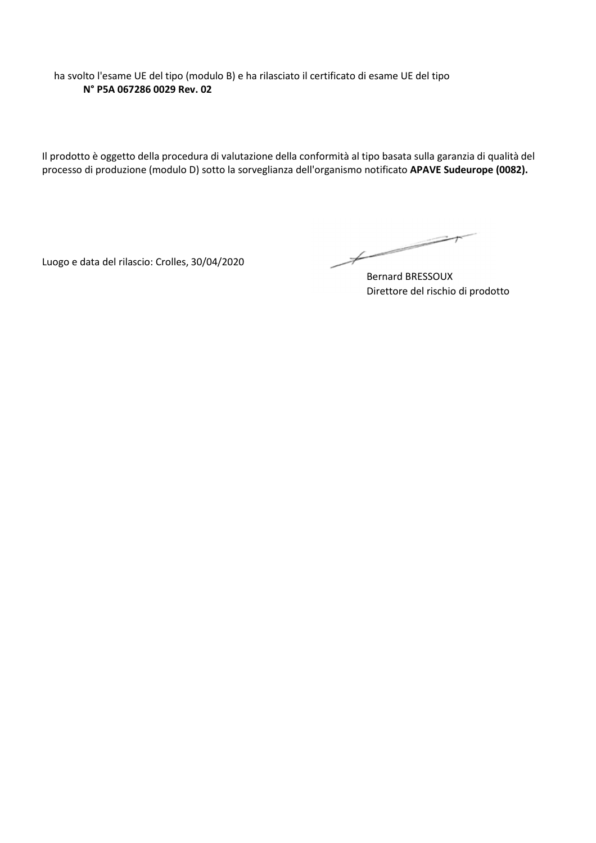ha svolto l'esame UE del tipo (modulo B) e ha rilasciato il certificato di esame UE del tipo **N° P5A 067286 0029 Rev. 02**

Il prodotto è oggetto della procedura di valutazione della conformità al tipo basata sulla garanzia di qualità del processo di produzione (modulo D) sotto la sorveglianza dell'organismo notificato **APAVE Sudeurope (0082).**

Luogo e data del rilascio: Crolles, 30/04/2020

 $\overbrace{\hspace{2.5cm}}^{*}$ 

Bernard BRESSOUX Direttore del rischio di prodotto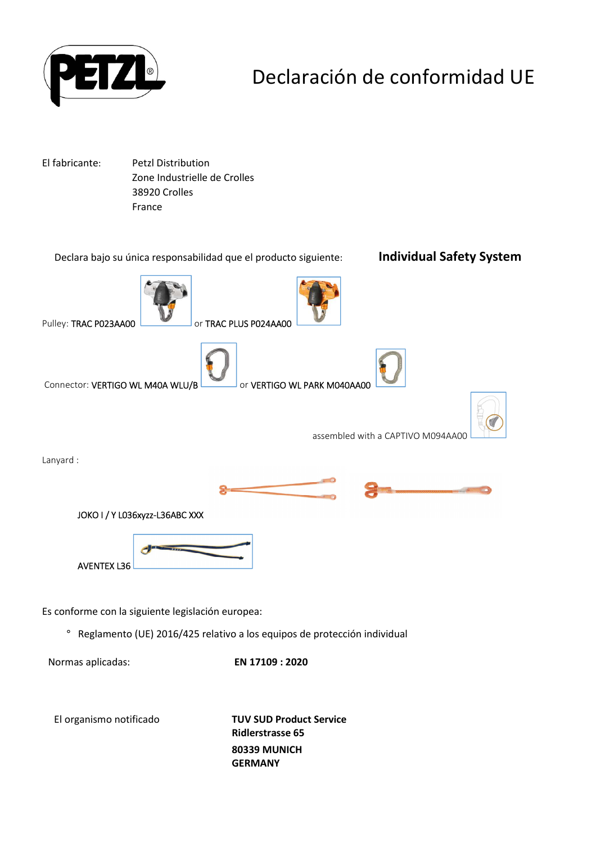

## Declaración de conformidad UE

El fabricante: Petzl Distribution Zone Industrielle de Crolles 38920 Crolles France



El organismo notificado **TUV SUD Product Service Ridlerstrasse 65 80339 MUNICH GERMANY**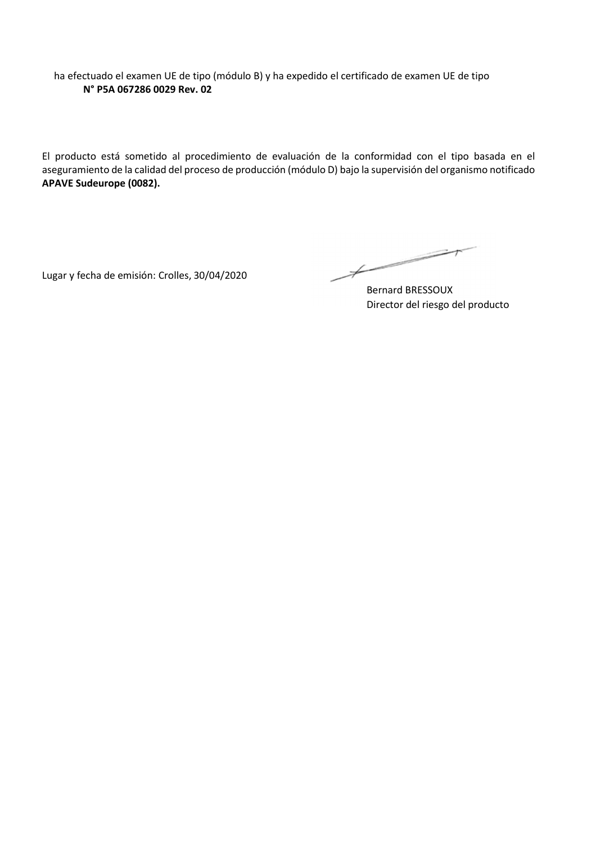ha efectuado el examen UE de tipo (módulo B) y ha expedido el certificado de examen UE de tipo **N° P5A 067286 0029 Rev. 02**

El producto está sometido al procedimiento de evaluación de la conformidad con el tipo basada en el aseguramiento de la calidad del proceso de producción (módulo D) bajo la supervisión del organismo notificado **APAVE Sudeurope (0082).**

Lugar y fecha de emisión: Crolles, 30/04/2020

 $\not\vdash$ 

Bernard BRESSOUX Director del riesgo del producto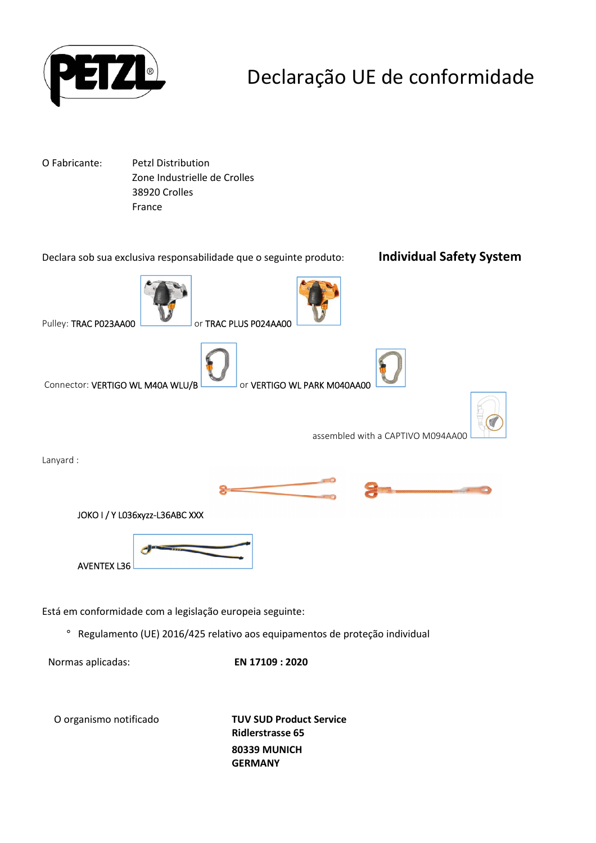

## Declaração UE de conformidade

O Fabricante: Petzl Distribution Zone Industrielle de Crolles 38920 Crolles France



**Ridlerstrasse 65 80339 MUNICH GERMANY**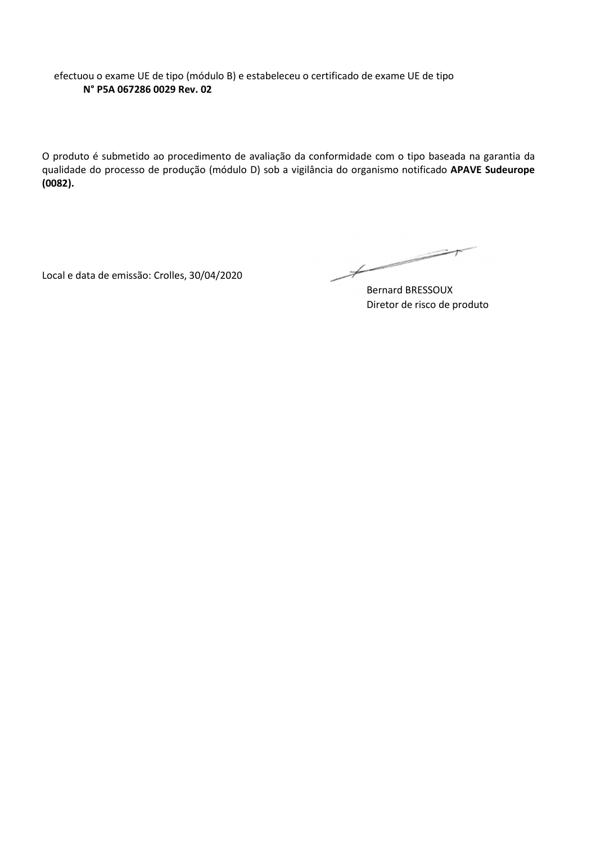efectuou o exame UE de tipo (módulo B) e estabeleceu o certificado de exame UE de tipo **N° P5A 067286 0029 Rev. 02**

O produto é submetido ao procedimento de avaliação da conformidade com o tipo baseada na garantia da qualidade do processo de produção (módulo D) sob a vigilância do organismo notificado **APAVE Sudeurope (0082).**

Local e data de emissão: Crolles, 30/04/2020

 $\not\!\!\!\!/-$ 

Bernard BRESSOUX Diretor de risco de produto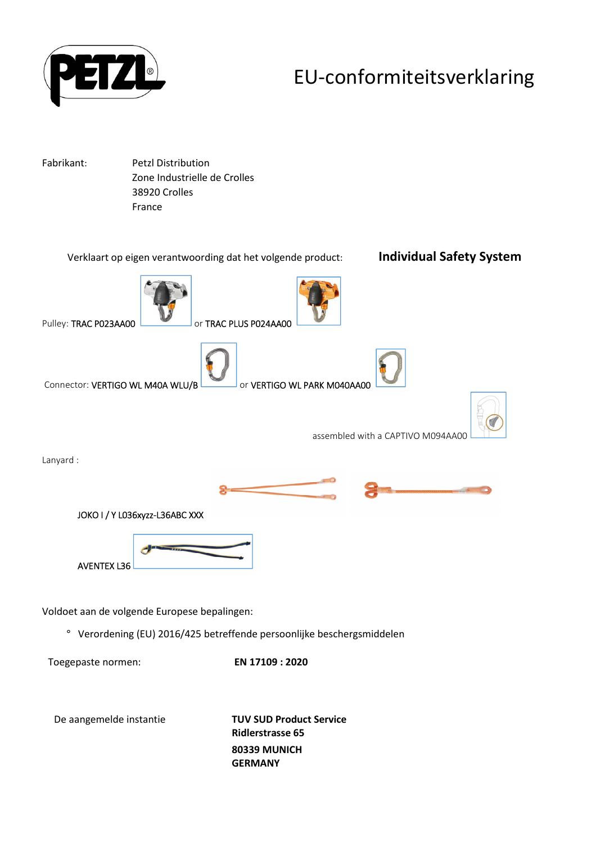

## EU-conformiteitsverklaring

Fabrikant: Petzl Distribution Zone Industrielle de Crolles 38920 Crolles France



De aangemelde instantie **TUV SUD Product Service Ridlerstrasse 65 80339 MUNICH GERMANY**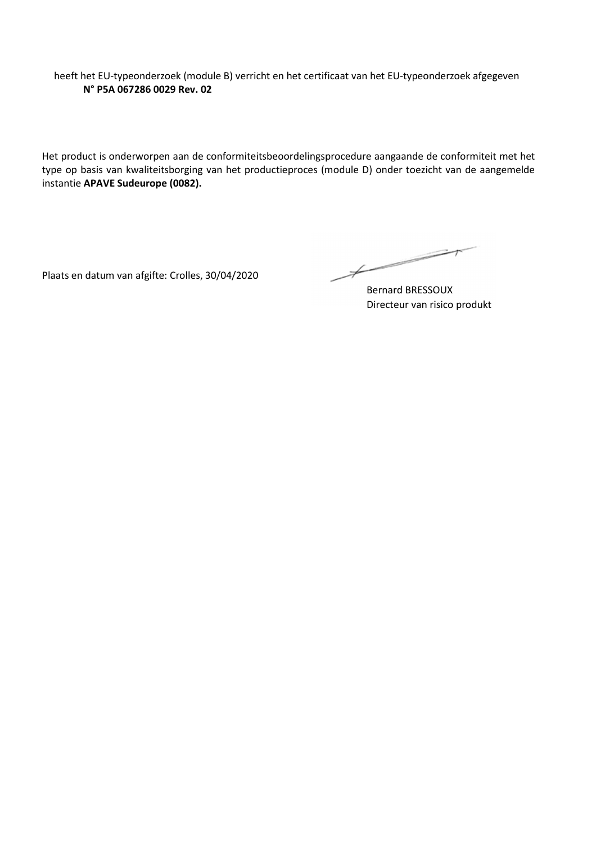heeft het EU-typeonderzoek (module B) verricht en het certificaat van het EU-typeonderzoek afgegeven **N° P5A 067286 0029 Rev. 02**

Het product is onderworpen aan de conformiteitsbeoordelingsprocedure aangaande de conformiteit met het type op basis van kwaliteitsborging van het productieproces (module D) onder toezicht van de aangemelde instantie **APAVE Sudeurope (0082).**

Plaats en datum van afgifte: Crolles, 30/04/2020

 $\not\!\!\!\!/-$ 

Bernard BRESSOUX Directeur van risico produkt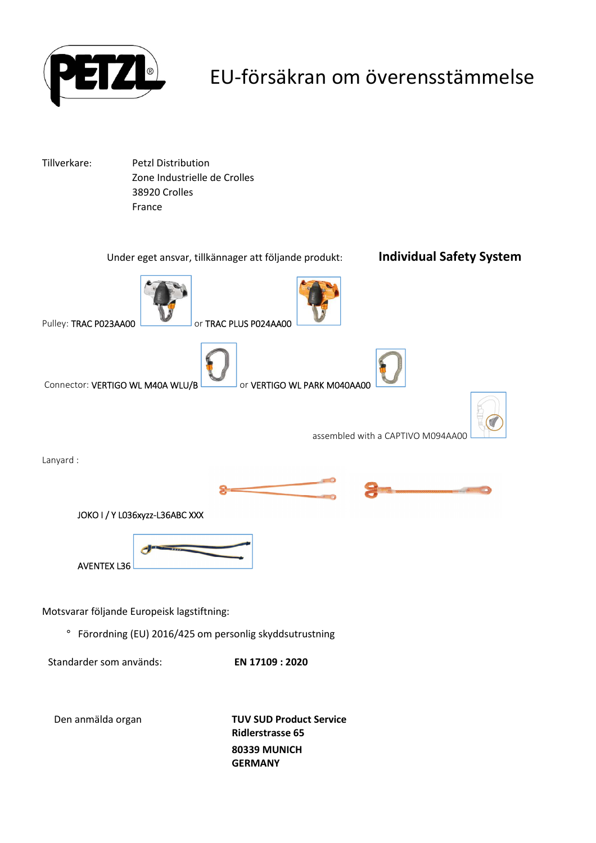

## EU-försäkran om överensstämmelse

Tillverkare: Petzl Distribution Zone Industrielle de Crolles 38920 Crolles France

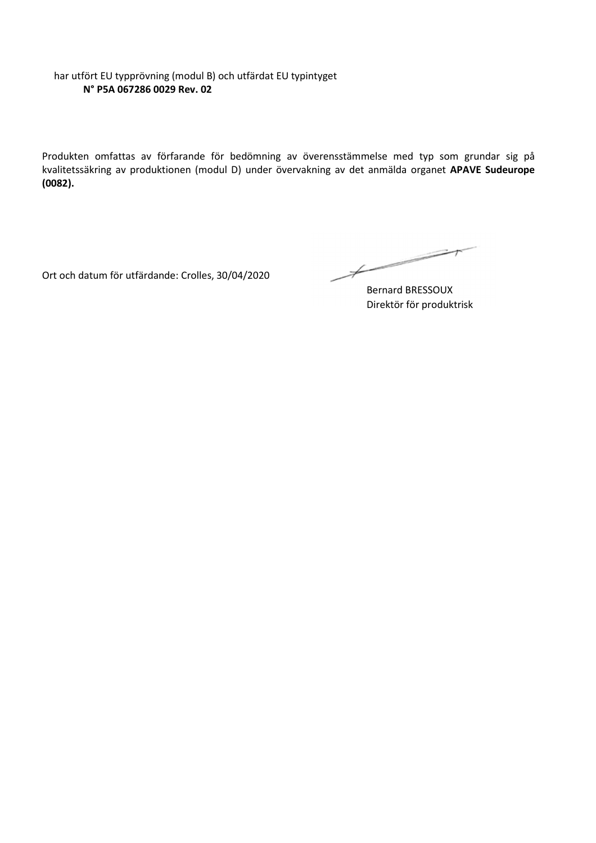#### har utfört EU typprövning (modul B) och utfärdat EU typintyget **N° P5A 067286 0029 Rev. 02**

Produkten omfattas av förfarande för bedömning av överensstämmelse med typ som grundar sig på kvalitetssäkring av produktionen (modul D) under övervakning av det anmälda organet **APAVE Sudeurope (0082).**

Ort och datum för utfärdande: Crolles, 30/04/2020

 $\not\vdash$ 

Bernard BRESSOUX Direktör för produktrisk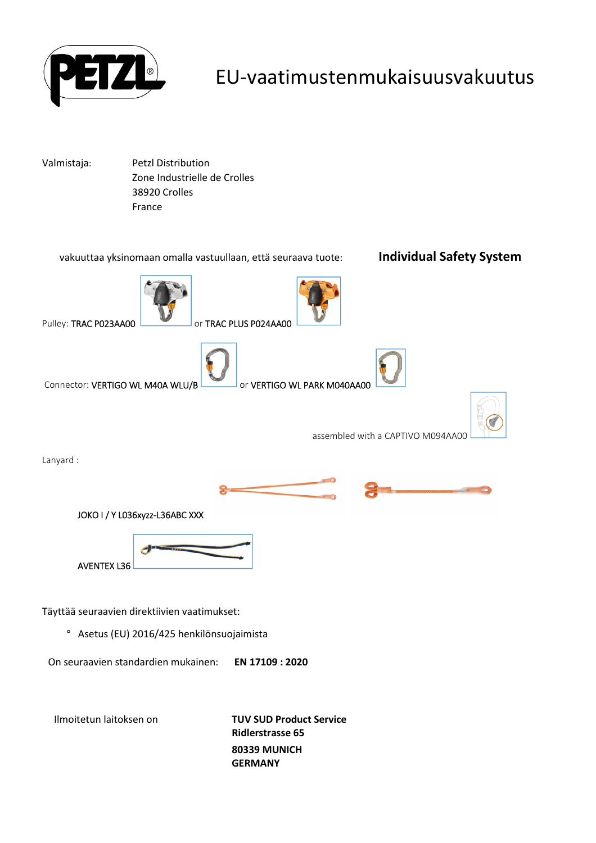

### EU-vaatimustenmukaisuusvakuutus

Valmistaja: Petzl Distribution Zone Industrielle de Crolles 38920 Crolles France



**Ridlerstrasse 65 80339 MUNICH GERMANY**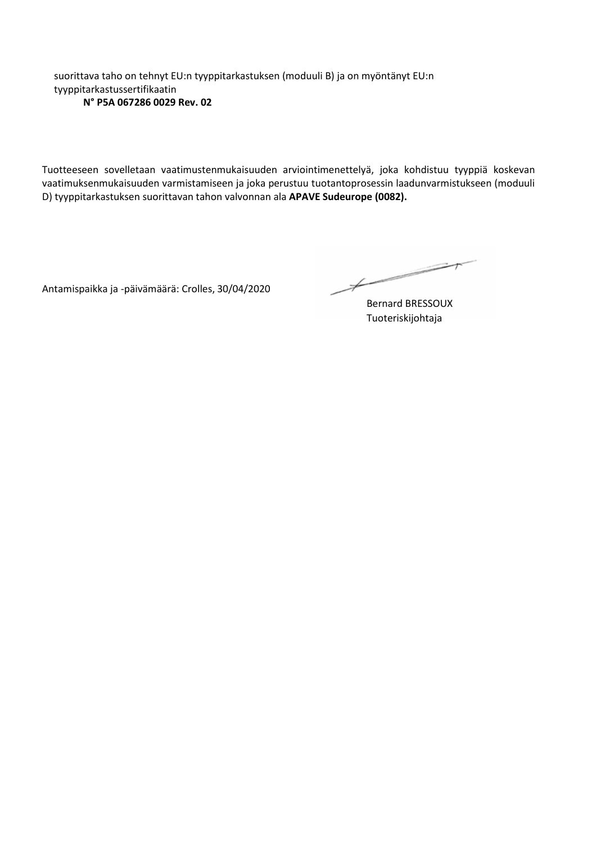suorittava taho on tehnyt EU:n tyyppitarkastuksen (moduuli B) ja on myöntänyt EU:n tyyppitarkastussertifikaatin **N° P5A 067286 0029 Rev. 02**

Tuotteeseen sovelletaan vaatimustenmukaisuuden arviointimenettelyä, joka kohdistuu tyyppiä koskevan vaatimuksenmukaisuuden varmistamiseen ja joka perustuu tuotantoprosessin laadunvarmistukseen (moduuli D) tyyppitarkastuksen suorittavan tahon valvonnan ala **APAVE Sudeurope (0082).**

Antamispaikka ja -päivämäärä: Crolles, 30/04/2020

 $\not\!\!\!\!/$ 

Bernard BRESSOUX Tuoteriskijohtaja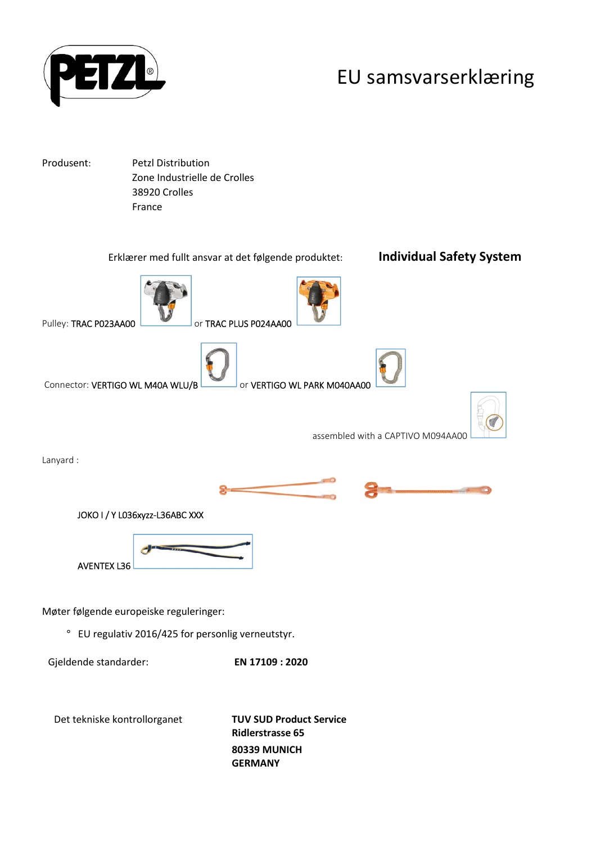

## EU samsvarserklæring

Produsent: Petzl Distribution Zone Industrielle de Crolles 38920 Crolles France

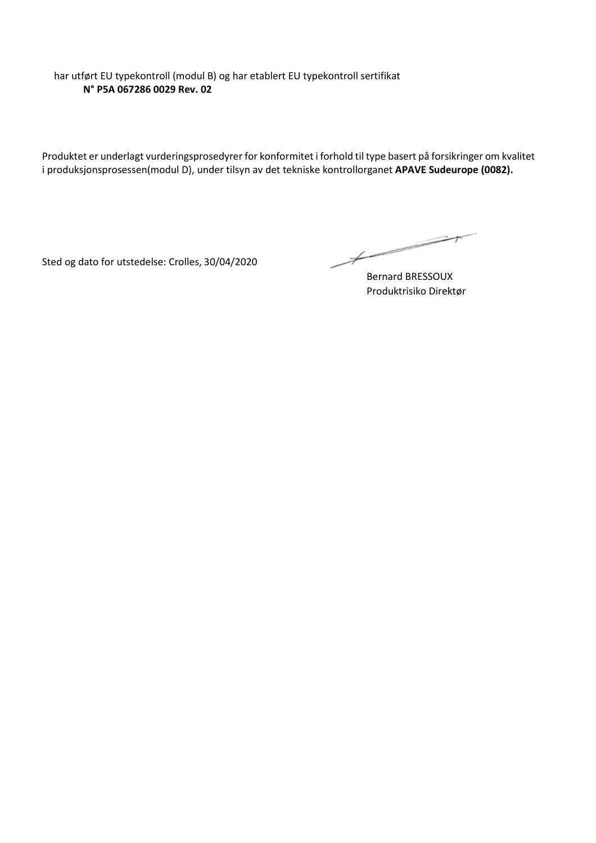har utført EU typekontroll (modul B) og har etablert EU typekontroll sertifikat **N° P5A 067286 0029 Rev. 02**

Produktet er underlagt vurderingsprosedyrer for konformitet i forhold til type basert på forsikringer om kvalitet i produksjonsprosessen(modul D), under tilsyn av det tekniske kontrollorganet **APAVE Sudeurope (0082).**

Sted og dato for utstedelse: Crolles, 30/04/2020

 $\overbrace{\hspace{2.5cm}}^{*}$ 

Bernard BRESSOUX Produktrisiko Direktør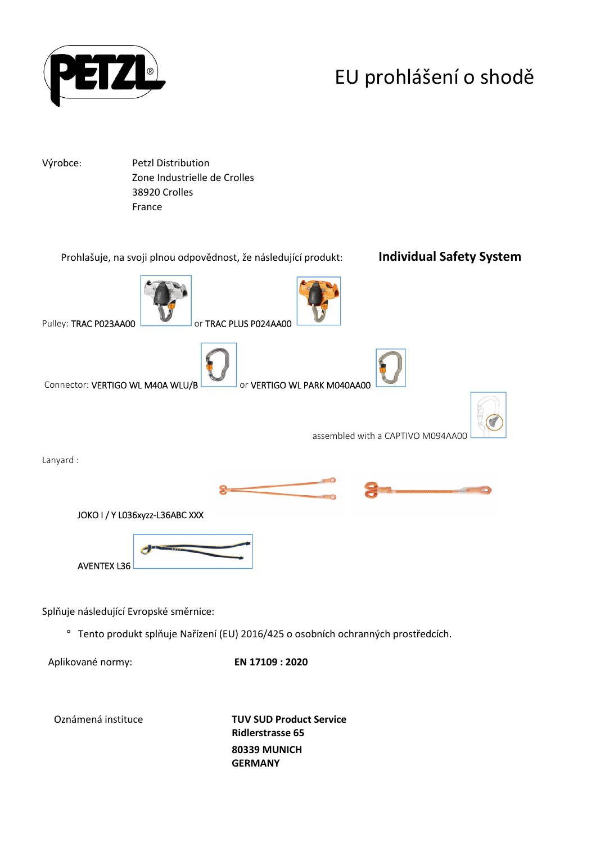

# EU prohlášení o shodě

Výrobce: Petzl Distribution

 Zone Industrielle de Crolles 38920 Crolles France



Oznámená instituce **TUV SUD Product Service Ridlerstrasse 65 80339 MUNICH GERMANY**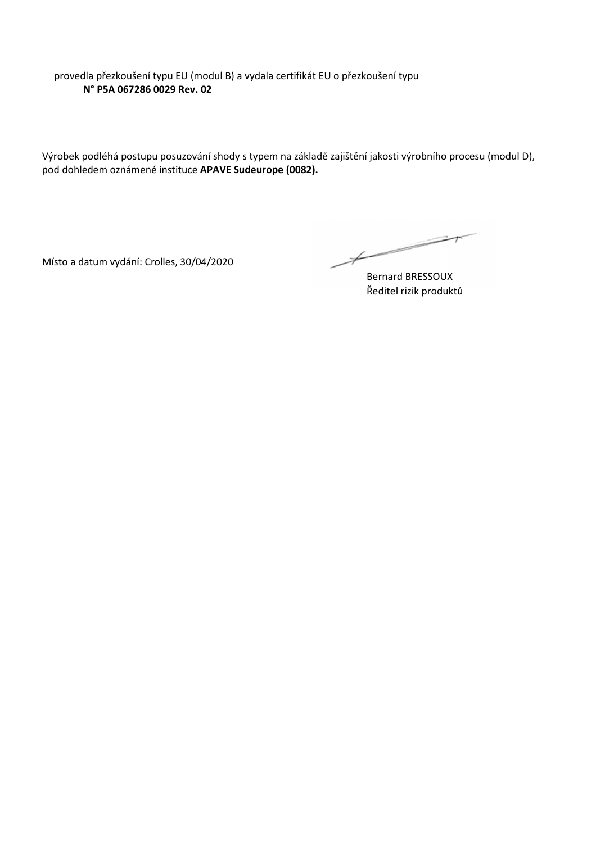provedla přezkoušení typu EU (modul B) a vydala certifikát EU o přezkoušení typu **N° P5A 067286 0029 Rev. 02**

Výrobek podléhá postupu posuzování shody s typem na základě zajištění jakosti výrobního procesu (modul D), pod dohledem oznámené instituce **APAVE Sudeurope (0082).**

Místo a datum vydání: Crolles, 30/04/2020

 $\overbrace{\phantom{aaaaa}}^{x}$ 

Bernard BRESSOUX Ředitel rizik produktů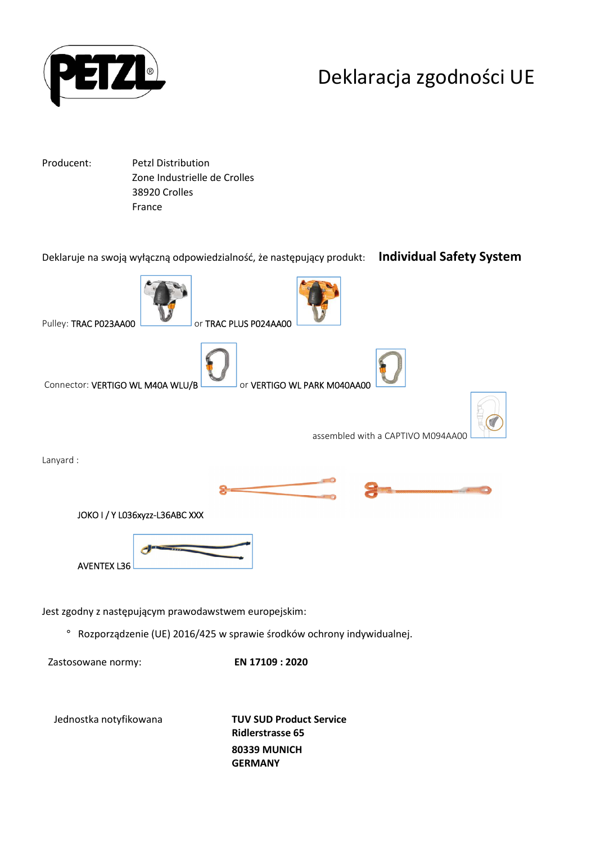

## Deklaracja zgodności UE

Producent: Petzl Distribution Zone Industrielle de Crolles 38920 Crolles France

Deklaruje na swoją wyłączną odpowiedzialność, że następujący produkt: **Individual Safety System** Pulley: TRAC P023AA00 **CONSERVERTY OF TRAC PLUS P024AA00** Connector: VERTIGO WL M40A WLU/B or VERTIGO WL PARK M040AA00 assembled with a CAPTIVO M094AA00 Lanyard : JOKO I / Y L036xyzz-L36ABC XXX AVENTEX L36 Jest zgodny z następującym prawodawstwem europejskim: ° Rozporządzenie (UE) 2016/425 w sprawie środków ochrony indywidualnej. Zastosowane normy: **EN 17109 : 2020**

Jednostka notyfikowana **TUV SUD Product Service Ridlerstrasse 65 80339 MUNICH GERMANY**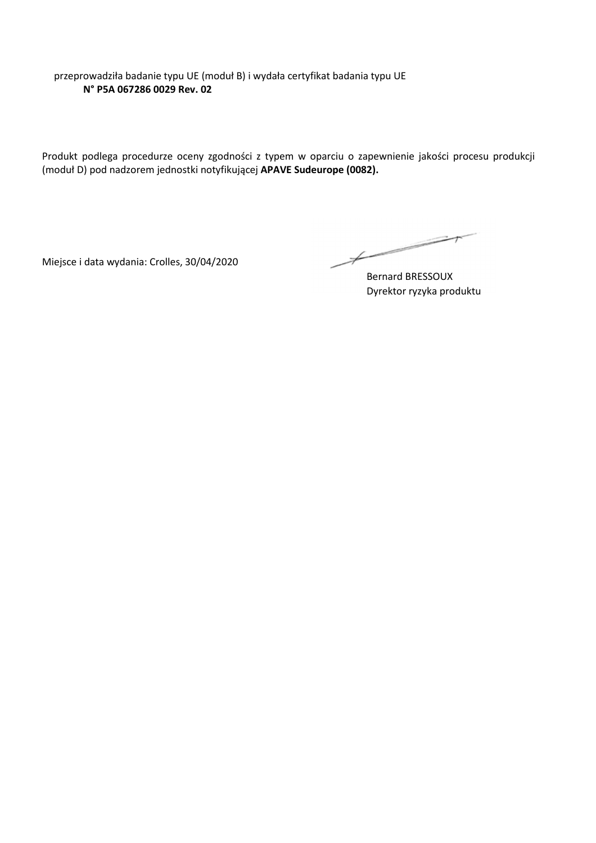przeprowadziła badanie typu UE (moduł B) i wydała certyfikat badania typu UE **N° P5A 067286 0029 Rev. 02**

Produkt podlega procedurze oceny zgodności z typem w oparciu o zapewnienie jakości procesu produkcji (moduł D) pod nadzorem jednostki notyfikującej **APAVE Sudeurope (0082).**

Miejsce i data wydania: Crolles, 30/04/2020

 $\overbrace{\phantom{aaaaa}}^{x}$ 

Bernard BRESSOUX Dyrektor ryzyka produktu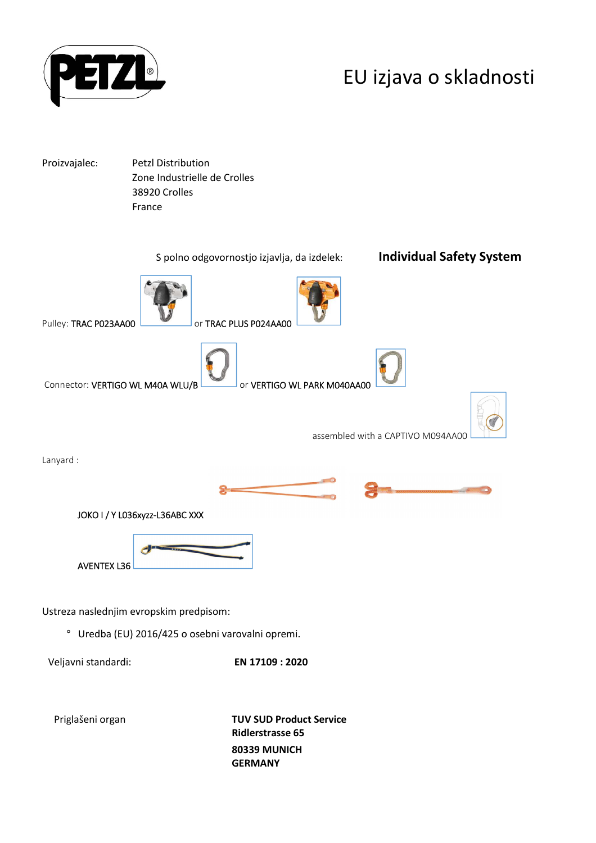

## EU izjava o skladnosti

Proizvajalec: Petzl Distribution Zone Industrielle de Crolles 38920 Crolles France



**80339 MUNICH GERMANY**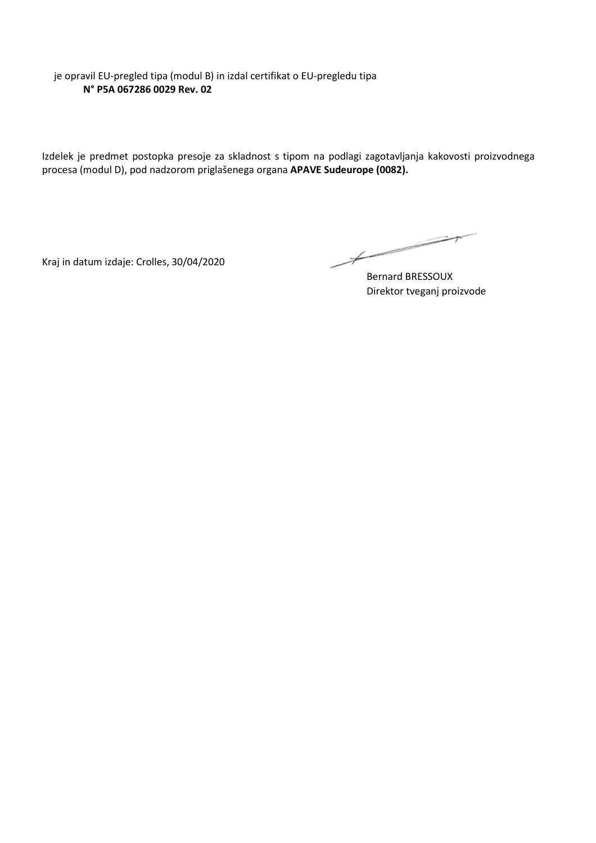je opravil EU-pregled tipa (modul B) in izdal certifikat o EU-pregledu tipa **N° P5A 067286 0029 Rev. 02**

Izdelek je predmet postopka presoje za skladnost s tipom na podlagi zagotavljanja kakovosti proizvodnega procesa (modul D), pod nadzorom priglašenega organa **APAVE Sudeurope (0082).**

Kraj in datum izdaje: Crolles, 30/04/2020

 $\overbrace{\phantom{aaaaa}}^{x}$ 

Bernard BRESSOUX Direktor tveganj proizvode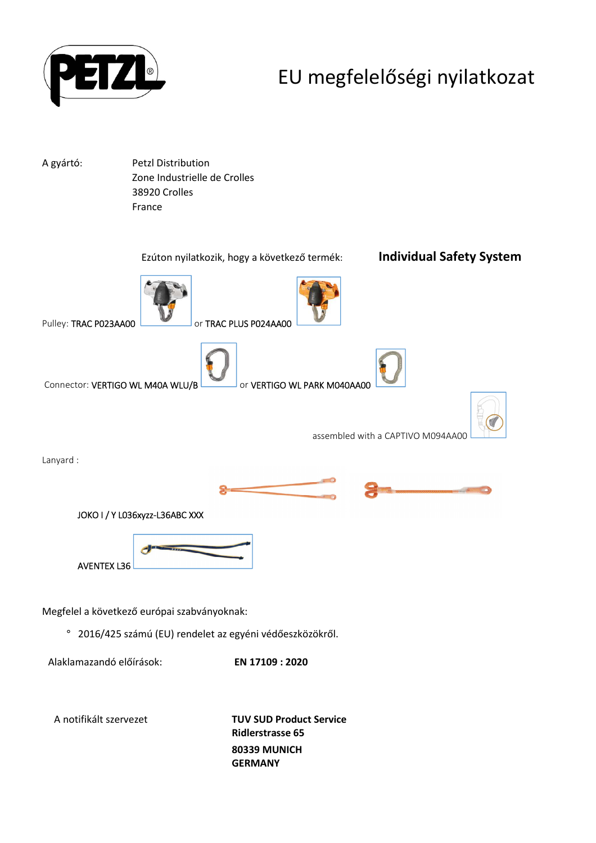

## EU megfelelőségi nyilatkozat

A gyártó: Petzl Distribution Zone Industrielle de Crolles 38920 Crolles France



**Ridlerstrasse 65 80339 MUNICH GERMANY**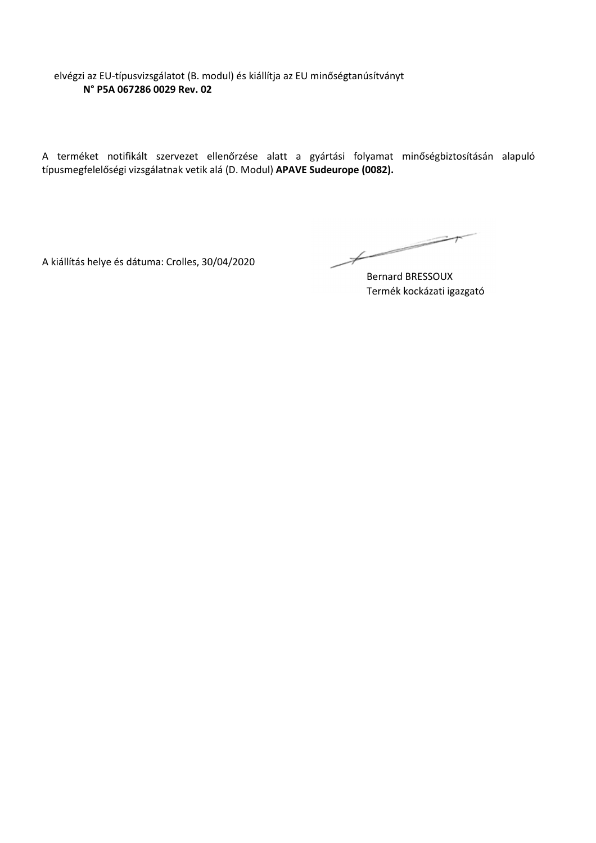elvégzi az EU-típusvizsgálatot (B. modul) és kiállítja az EU minőségtanúsítványt **N° P5A 067286 0029 Rev. 02**

A terméket notifikált szervezet ellenőrzése alatt a gyártási folyamat minőségbiztosításán alapuló típusmegfelelőségi vizsgálatnak vetik alá (D. Modul) **APAVE Sudeurope (0082).**

A kiállítás helye és dátuma: Crolles, 30/04/2020

 $\overbrace{\hspace{2.5cm}}^{*}$ 

Bernard BRESSOUX Termék kockázati igazgató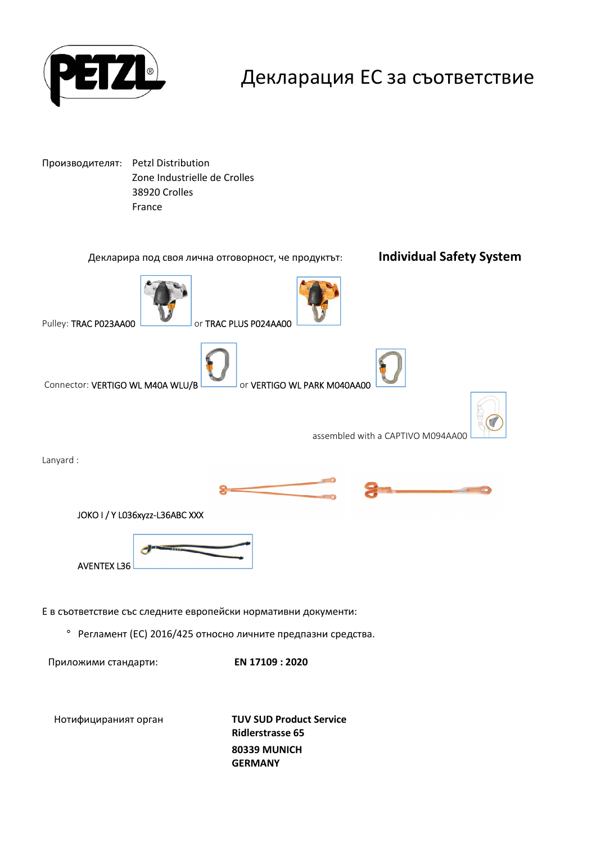

#### Декларация ЕС за съответствие

Производителят: Petzl Distribution Zone Industrielle de Crolles 38920 Crolles France

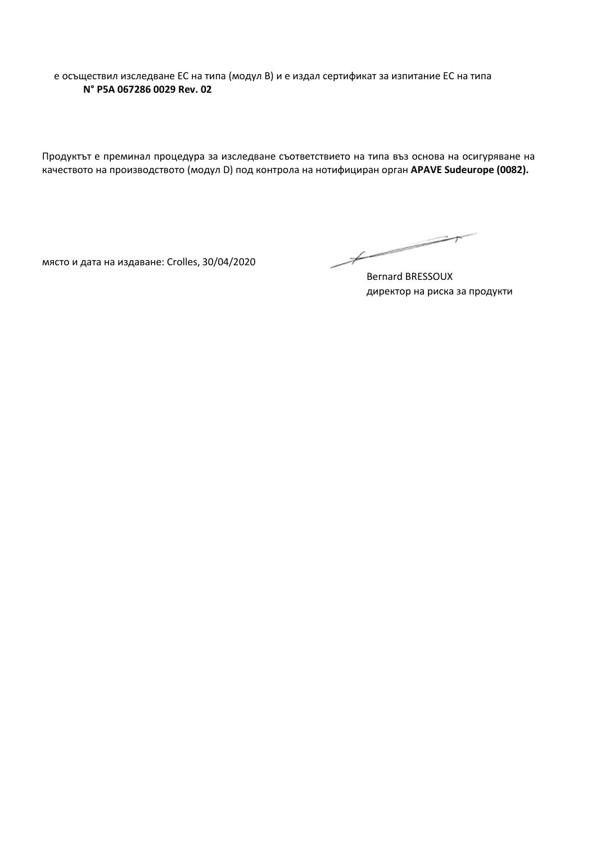е осъществил изследване ЕС на типа (модул В) и е издал сертификат за изпитание ЕС на типа **N° P5A 067286 0029 Rev. 02**

Продуктът е преминал процедура за изследване съответствието на типа въз основа на осигуряване на качеството на производството (модул D) под контрола на нотифициран орган **APAVE Sudeurope (0082).**

място и дата на издаване: Crolles, 30/04/2020

 $\overbrace{\hspace{2.5cm}}^{*}$ 

Bernard BRESSOUX директор на риска за продукти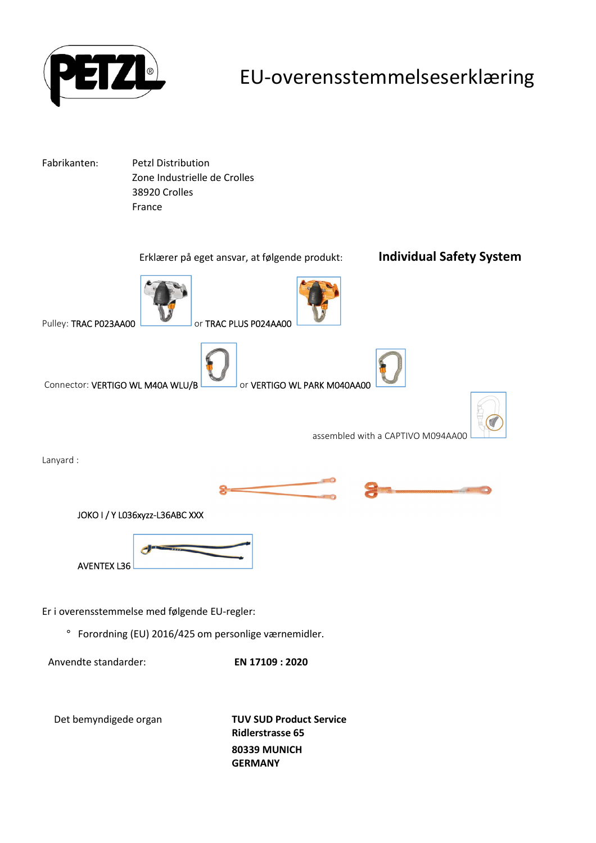

#### EU-overensstemmelseserklæring

Fabrikanten: Petzl Distribution Zone Industrielle de Crolles 38920 Crolles France



**Ridlerstrasse 65 80339 MUNICH GERMANY**